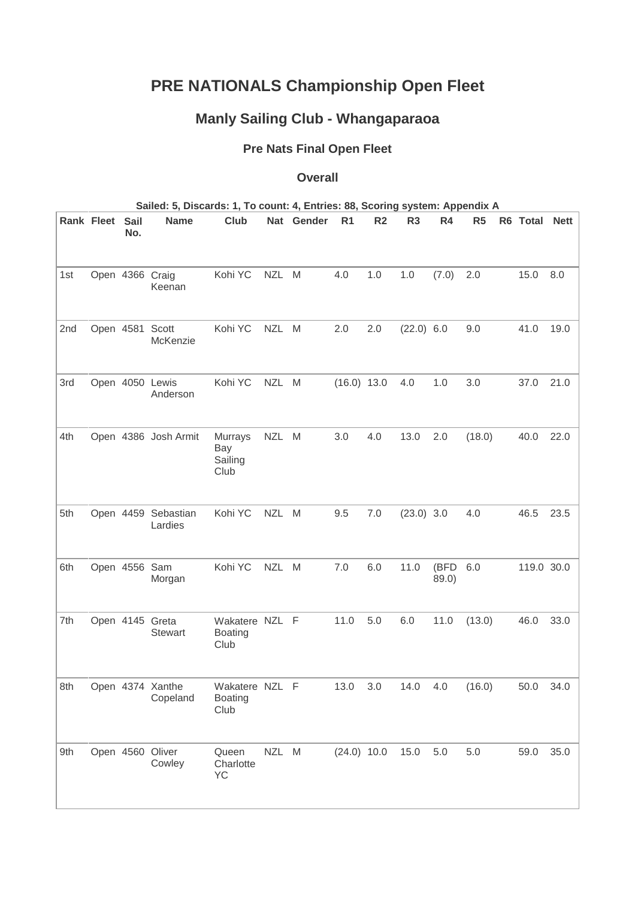## **PRE NATIONALS Championship Open Fleet**

## **Manly Sailing Club - Whangaparaoa**

## **Pre Nats Final Open Fleet**

## **Overall**

| Sailed: 5, Discards: 1, To count: 4, Entries: 88, Scoring system: Appendix A |  |
|------------------------------------------------------------------------------|--|
|------------------------------------------------------------------------------|--|

|     | <b>Rank Fleet</b> | Sail<br>No.   | <b>Name</b>                       | Club                                     |            | Nat Gender | R <sub>1</sub> | R <sub>2</sub> | R <sub>3</sub> | R <sub>4</sub> | R <sub>5</sub> | R6 Total   | <b>Nett</b> |
|-----|-------------------|---------------|-----------------------------------|------------------------------------------|------------|------------|----------------|----------------|----------------|----------------|----------------|------------|-------------|
|     |                   |               |                                   |                                          |            |            |                |                |                |                |                |            |             |
| 1st |                   |               | Open 4366 Craig<br>Keenan         | Kohi YC                                  | <b>NZL</b> | M          | 4.0            | 1.0            | 1.0            | (7.0)          | 2.0            | 15.0       | 8.0         |
| 2nd |                   | Open 4581     | Scott<br>McKenzie                 | Kohi YC                                  | NZL M      |            | 2.0            | 2.0            | $(22.0)$ 6.0   |                | 9.0            | 41.0       | 19.0        |
| 3rd |                   |               | Open 4050 Lewis<br>Anderson       | Kohi YC                                  | <b>NZL</b> | M          | $(16.0)$ 13.0  |                | 4.0            | 1.0            | 3.0            | 37.0       | 21.0        |
| 4th |                   |               | Open 4386 Josh Armit              | Murrays<br>Bay<br>Sailing<br>Club        | NZL M      |            | 3.0            | 4.0            | 13.0           | 2.0            | (18.0)         | 40.0       | 22.0        |
| 5th |                   |               | Open 4459 Sebastian<br>Lardies    | Kohi YC                                  | NZL M      |            | 9.5            | 7.0            | $(23.0)$ 3.0   |                | 4.0            | 46.5       | 23.5        |
| 6th |                   | Open 4556 Sam | Morgan                            | Kohi YC                                  | <b>NZL</b> | M          | 7.0            | 6.0            | 11.0           | (BFD<br>89.0)  | 6.0            | 119.0 30.0 |             |
| 7th |                   |               | Open 4145 Greta<br><b>Stewart</b> | Wakatere NZL F<br><b>Boating</b><br>Club |            |            | 11.0           | 5.0            | 6.0            | 11.0           | (13.0)         | 46.0       | 33.0        |
| 8th |                   |               | Open 4374 Xanthe<br>Copeland      | Wakatere NZL<br><b>Boating</b><br>Club   |            | F          | 13.0           | 3.0            | 14.0           | 4.0            | (16.0)         | 50.0       | 34.0        |
| 9th |                   |               | Open 4560 Oliver<br>Cowley        | Queen<br>Charlotte<br>YC                 | NZL M      |            | $(24.0)$ 10.0  |                | 15.0           | 5.0            | 5.0            | 59.0       | 35.0        |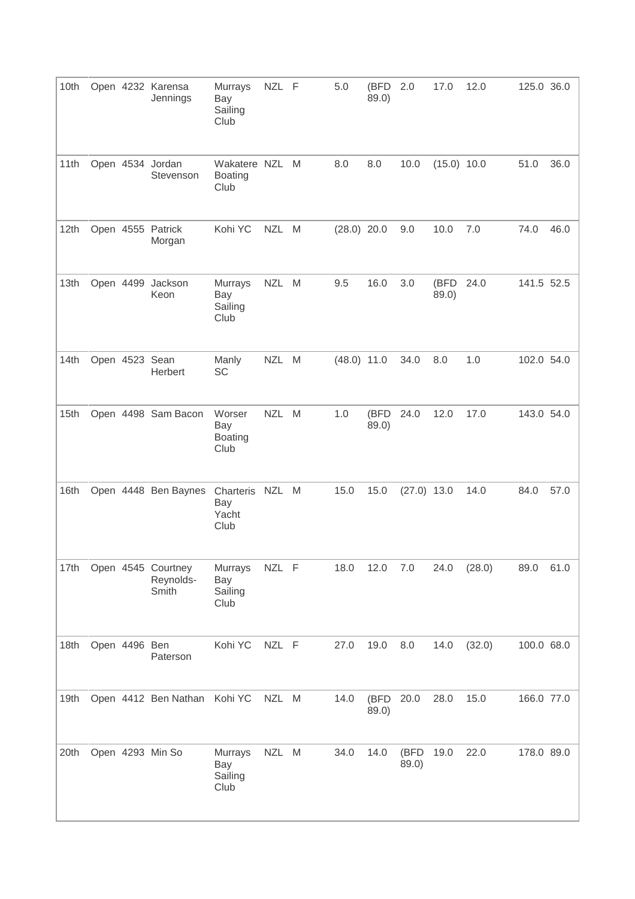| 10th |                | Open 4232 Karensa<br>Jennings            | Murrays<br>Bay<br>Sailing<br>Club       | NZL F      |   | 5.0           | (BFD<br>89.0) | 2.0           | 17.0          | 12.0   | 125.0 36.0 |      |
|------|----------------|------------------------------------------|-----------------------------------------|------------|---|---------------|---------------|---------------|---------------|--------|------------|------|
| 11th |                | Open 4534 Jordan<br>Stevenson            | Wakatere NZL<br><b>Boating</b><br>Club  |            | M | 8.0           | 8.0           | 10.0          | (15.0) 10.0   |        | 51.0       | 36.0 |
| 12th |                | Open 4555 Patrick<br>Morgan              | Kohi YC                                 | NZL M      |   | $(28.0)$ 20.0 |               | 9.0           | 10.0          | 7.0    | 74.0       | 46.0 |
| 13th | Open 4499      | Jackson<br>Keon                          | Murrays<br>Bay<br>Sailing<br>Club       | <b>NZL</b> | M | 9.5           | 16.0          | 3.0           | (BFD<br>89.0) | 24.0   | 141.5 52.5 |      |
| 14th | Open 4523 Sean | Herbert                                  | Manly<br><b>SC</b>                      | <b>NZL</b> | M | $(48.0)$ 11.0 |               | 34.0          | 8.0           | 1.0    | 102.0 54.0 |      |
| 15th |                | Open 4498 Sam Bacon                      | Worser<br>Bay<br><b>Boating</b><br>Club | NZL M      |   | 1.0           | (BFD<br>89.0) | 24.0          | 12.0          | 17.0   | 143.0 54.0 |      |
| 16th |                | Open 4448 Ben Baynes                     | Charteris<br>Bay<br>Yacht<br>Club       | NZL M      |   | 15.0          | 15.0          | $(27.0)$ 13.0 |               | 14.0   | 84.0       | 57.0 |
| 17th |                | Open 4545 Courtney<br>Reynolds-<br>Smith | Murrays<br>Bay<br>Sailing<br>Club       | NZL F      |   | 18.0          | 12.0          | 7.0           | 24.0          | (28.0) | 89.0       | 61.0 |
| 18th | Open 4496 Ben  | Paterson                                 | Kohi YC                                 | NZL F      |   | 27.0          | 19.0          | 8.0           | 14.0          | (32.0) | 100.0 68.0 |      |
| 19th |                | Open 4412 Ben Nathan Kohi YC             |                                         | NZL M      |   | 14.0          | (BFD<br>89.0) | 20.0          | 28.0          | 15.0   | 166.0 77.0 |      |
| 20th |                | Open 4293 Min So                         | Murrays<br>Bay<br>Sailing<br>Club       | <b>NZL</b> | M | 34.0          | 14.0          | (BFD<br>89.0) | 19.0          | 22.0   | 178.0 89.0 |      |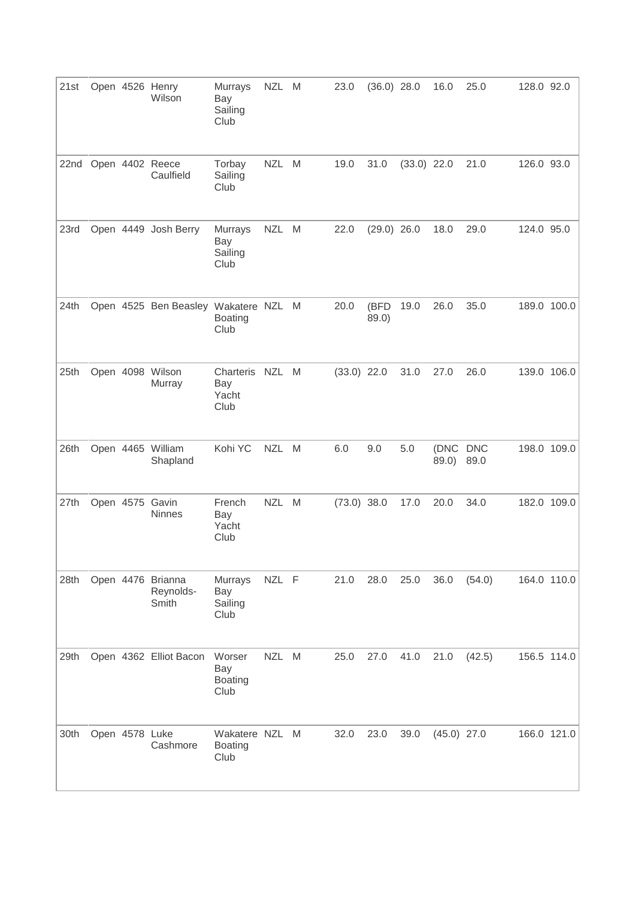| 21st |                | Open 4526 Henry<br>Wilson               | Murrays<br>Bay<br>Sailing<br>Club       | NZL M      |   | 23.0          | $(36.0)$ 28.0 |               | 16.0           | 25.0               | 128.0 92.0 |             |
|------|----------------|-----------------------------------------|-----------------------------------------|------------|---|---------------|---------------|---------------|----------------|--------------------|------------|-------------|
| 22nd |                | Open 4402 Reece<br>Caulfield            | Torbay<br>Sailing<br>Club               | <b>NZL</b> | M | 19.0          | 31.0          | $(33.0)$ 22.0 |                | 21.0               | 126.0 93.0 |             |
| 23rd |                | Open 4449 Josh Berry                    | Murrays<br>Bay<br>Sailing<br>Club       | <b>NZL</b> | M | 22.0          | $(29.0)$ 26.0 |               | 18.0           | 29.0               | 124.0 95.0 |             |
| 24th |                | Open 4525 Ben Beasley Wakatere NZL      | <b>Boating</b><br>Club                  |            | M | 20.0          | (BFD<br>89.0) | 19.0          | 26.0           | 35.0               |            | 189.0 100.0 |
| 25th |                | Open 4098 Wilson<br>Murray              | Charteris<br>Bay<br>Yacht<br>Club       | <b>NZL</b> | M | $(33.0)$ 22.0 |               | 31.0          | 27.0           | 26.0               |            | 139.0 106.0 |
| 26th |                | Open 4465 William<br>Shapland           | Kohi YC                                 | NZL M      |   | 6.0           | 9.0           | 5.0           | (DNC)<br>89.0) | <b>DNC</b><br>89.0 |            | 198.0 109.0 |
| 27th | Open 4575      | Gavin<br><b>Ninnes</b>                  | French<br>Bay<br>Yacht<br>Club          | <b>NZL</b> | M | $(73.0)$ 38.0 |               | 17.0          | 20.0           | 34.0               |            | 182.0 109.0 |
| 28th |                | Open 4476 Brianna<br>Reynolds-<br>Smith | Murrays<br>Bay<br>Sailing<br>Club       | NZL F      |   | 21.0          | 28.0          | 25.0          | 36.0           | (54.0)             |            | 164.0 110.0 |
| 29th |                | Open 4362 Elliot Bacon                  | Worser<br>Bay<br><b>Boating</b><br>Club | <b>NZL</b> | M | 25.0          | 27.0          | 41.0          | 21.0           | (42.5)             |            | 156.5 114.0 |
| 30th | Open 4578 Luke | Cashmore                                | Wakatere NZL<br><b>Boating</b><br>Club  |            | M | 32.0          | 23.0          | 39.0          | $(45.0)$ 27.0  |                    |            | 166.0 121.0 |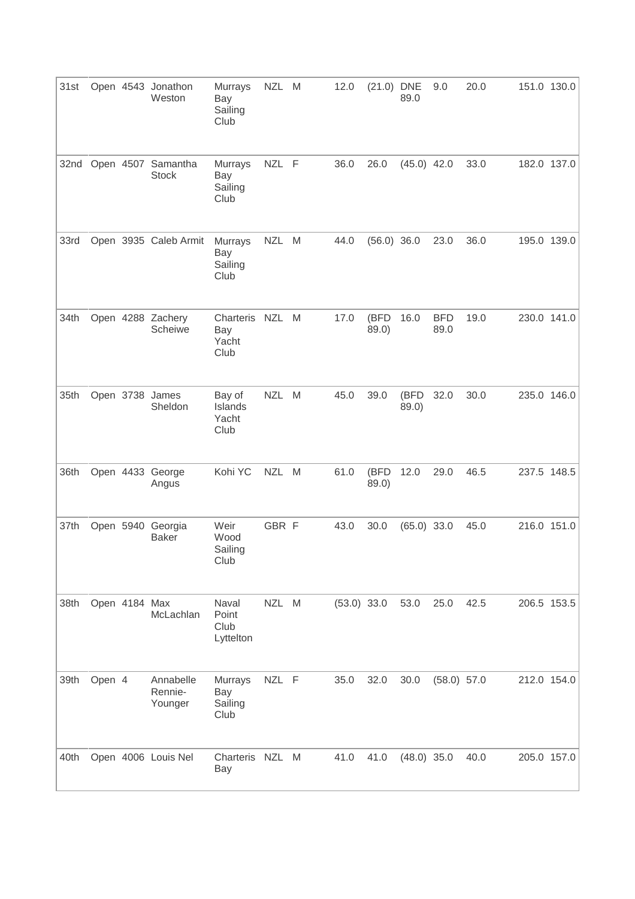| 31st |        |               | Open 4543 Jonathon<br>Weston       | Murrays<br>Bay<br>Sailing<br>Club       | <b>NZL</b> | M | 12.0          | $(21.0)$ DNE  | 89.0          | 9.0                | 20.0 | 151.0 130.0 |
|------|--------|---------------|------------------------------------|-----------------------------------------|------------|---|---------------|---------------|---------------|--------------------|------|-------------|
| 32nd |        |               | Open 4507 Samantha<br><b>Stock</b> | Murrays<br>Bay<br>Sailing<br>Club       | NZL F      |   | 36.0          | 26.0          | $(45.0)$ 42.0 |                    | 33.0 | 182.0 137.0 |
| 33rd |        |               | Open 3935 Caleb Armit              | Murrays<br>Bay<br>Sailing<br>Club       | <b>NZL</b> | M | 44.0          | $(56.0)$ 36.0 |               | 23.0               | 36.0 | 195.0 139.0 |
| 34th |        |               | Open 4288 Zachery<br>Scheiwe       | Charteris NZL M<br>Bay<br>Yacht<br>Club |            |   | 17.0          | (BFD<br>89.0) | 16.0          | <b>BFD</b><br>89.0 | 19.0 | 230.0 141.0 |
| 35th |        |               | Open 3738 James<br>Sheldon         | Bay of<br>Islands<br>Yacht<br>Club      | <b>NZL</b> | M | 45.0          | 39.0          | (BFD<br>89.0) | 32.0               | 30.0 | 235.0 146.0 |
| 36th |        |               | Open 4433 George<br>Angus          | Kohi YC                                 | NZL M      |   | 61.0          | (BFD<br>89.0) | 12.0          | 29.0               | 46.5 | 237.5 148.5 |
| 37th |        |               | Open 5940 Georgia<br><b>Baker</b>  | Weir<br>Wood<br>Sailing<br>Club         | GBR F      |   | 43.0          | 30.0          | $(65.0)$ 33.0 |                    | 45.0 | 216.0 151.0 |
| 38th |        | Open 4184 Max | McLachlan                          | Naval<br>Point<br>Club<br>Lyttelton     | NZL M      |   | $(53.0)$ 33.0 |               | 53.0          | 25.0               | 42.5 | 206.5 153.5 |
| 39th | Open 4 |               | Annabelle<br>Rennie-<br>Younger    | Murrays<br>Bay<br>Sailing<br>Club       | NZL F      |   | 35.0          | 32.0          | 30.0          | $(58.0)$ 57.0      |      | 212.0 154.0 |
| 40th |        |               | Open 4006 Louis Nel                | Charteris NZL M<br>Bay                  |            |   | 41.0          | 41.0          | $(48.0)$ 35.0 |                    | 40.0 | 205.0 157.0 |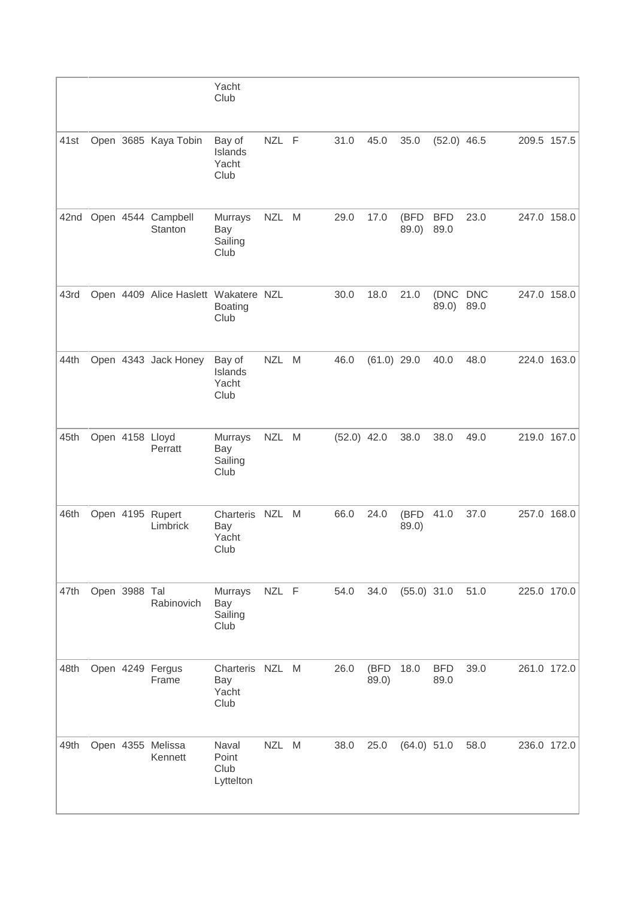|      |               |                                      | Yacht<br>Club                           |            |   |               |               |               |                    |      |             |
|------|---------------|--------------------------------------|-----------------------------------------|------------|---|---------------|---------------|---------------|--------------------|------|-------------|
| 41st |               | Open 3685 Kaya Tobin                 | Bay of<br>Islands<br>Yacht<br>Club      | NZL F      |   | 31.0          | 45.0          | 35.0          | $(52.0)$ 46.5      |      | 209.5 157.5 |
| 42nd |               | Open 4544 Campbell<br>Stanton        | Murrays<br>Bay<br>Sailing<br>Club       | <b>NZL</b> | M | 29.0          | 17.0          | (BFD<br>89.0) | <b>BFD</b><br>89.0 | 23.0 | 247.0 158.0 |
| 43rd |               | Open 4409 Alice Haslett Wakatere NZL | <b>Boating</b><br>Club                  |            |   | 30.0          | 18.0          | 21.0          | (DNC DNC<br>89.0)  | 89.0 | 247.0 158.0 |
| 44th |               | Open 4343 Jack Honey                 | Bay of<br>Islands<br>Yacht<br>Club      | <b>NZL</b> | M | 46.0          | $(61.0)$ 29.0 |               | 40.0               | 48.0 | 224.0 163.0 |
| 45th |               | Open 4158 Lloyd<br>Perratt           | Murrays<br>Bay<br>Sailing<br>Club       | <b>NZL</b> | M | $(52.0)$ 42.0 |               | 38.0          | 38.0               | 49.0 | 219.0 167.0 |
| 46th |               | Open 4195 Rupert<br>Limbrick         | Charteris<br>Bay<br>Yacht<br>Club       | <b>NZL</b> | M | 66.0          | 24.0          | (BFD<br>89.0) | 41.0               | 37.0 | 257.0 168.0 |
| 47th | Open 3988 Tal | Rabinovich                           | Murrays<br>Bay<br>Sailing<br>Club       | NZL F      |   | 54.0          | 34.0          | $(55.0)$ 31.0 |                    | 51.0 | 225.0 170.0 |
| 48th |               | Open 4249 Fergus<br>Frame            | Charteris NZL M<br>Bay<br>Yacht<br>Club |            |   | 26.0          | (BFD<br>89.0) | 18.0          | <b>BFD</b><br>89.0 | 39.0 | 261.0 172.0 |
| 49th |               | Open 4355 Melissa<br>Kennett         | Naval<br>Point<br>Club<br>Lyttelton     | NZL M      |   | 38.0          | 25.0          | $(64.0)$ 51.0 |                    | 58.0 | 236.0 172.0 |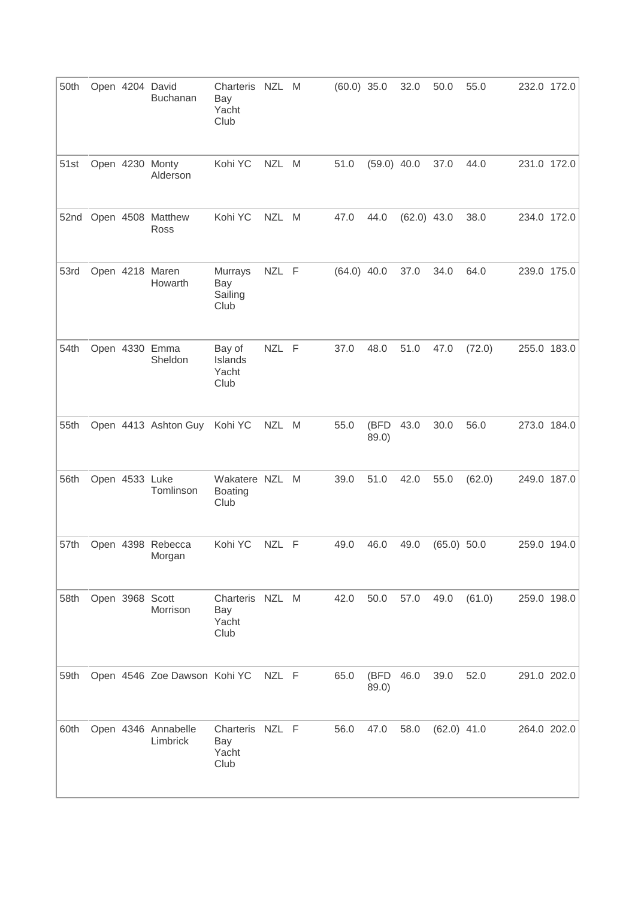| 50th |                 | Open 4204 David<br>Buchanan     | Charteris NZL<br>Bay<br>Yacht<br>Club   |            | M | $(60.0)$ 35.0 |               | 32.0          | 50.0          | 55.0   | 232.0 172.0 |
|------|-----------------|---------------------------------|-----------------------------------------|------------|---|---------------|---------------|---------------|---------------|--------|-------------|
| 51st |                 | Open 4230 Monty<br>Alderson     | Kohi YC                                 | <b>NZL</b> | M | 51.0          | $(59.0)$ 40.0 |               | 37.0          | 44.0   | 231.0 172.0 |
|      |                 | 52nd Open 4508 Matthew<br>Ross  | Kohi YC                                 | <b>NZL</b> | M | 47.0          | 44.0          | $(62.0)$ 43.0 |               | 38.0   | 234.0 172.0 |
| 53rd |                 | Open 4218 Maren<br>Howarth      | Murrays<br>Bay<br>Sailing<br>Club       | NZL F      |   | $(64.0)$ 40.0 |               | 37.0          | 34.0          | 64.0   | 239.0 175.0 |
| 54th |                 | Open 4330 Emma<br>Sheldon       | Bay of<br>Islands<br>Yacht<br>Club      | NZL F      |   | 37.0          | 48.0          | 51.0          | 47.0          | (72.0) | 255.0 183.0 |
| 55th |                 | Open 4413 Ashton Guy            | Kohi YC                                 | NZL M      |   | 55.0          | (BFD<br>89.0) | 43.0          | 30.0          | 56.0   | 273.0 184.0 |
| 56th | Open 4533 Luke  | Tomlinson                       | Wakatere NZL<br><b>Boating</b><br>Club  |            | M | 39.0          | 51.0          | 42.0          | 55.0          | (62.0) | 249.0 187.0 |
| 57th |                 | Open 4398 Rebecca<br>Morgan     | Kohi YC                                 | NZL F      |   | 49.0          | 46.0          | 49.0          | (65.0) 50.0   |        | 259.0 194.0 |
| 58th | Open 3968 Scott | Morrison                        | Charteris NZL M<br>Bay<br>Yacht<br>Club |            |   | 42.0          | 50.0          | 57.0          | 49.0          | (61.0) | 259.0 198.0 |
| 59th |                 | Open 4546 Zoe Dawson Kohi YC    |                                         | NZL F      |   | 65.0          | (BFD<br>89.0) | 46.0          | 39.0          | 52.0   | 291.0 202.0 |
| 60th |                 | Open 4346 Annabelle<br>Limbrick | Charteris NZL F<br>Bay<br>Yacht<br>Club |            |   | 56.0          | 47.0          | 58.0          | $(62.0)$ 41.0 |        | 264.0 202.0 |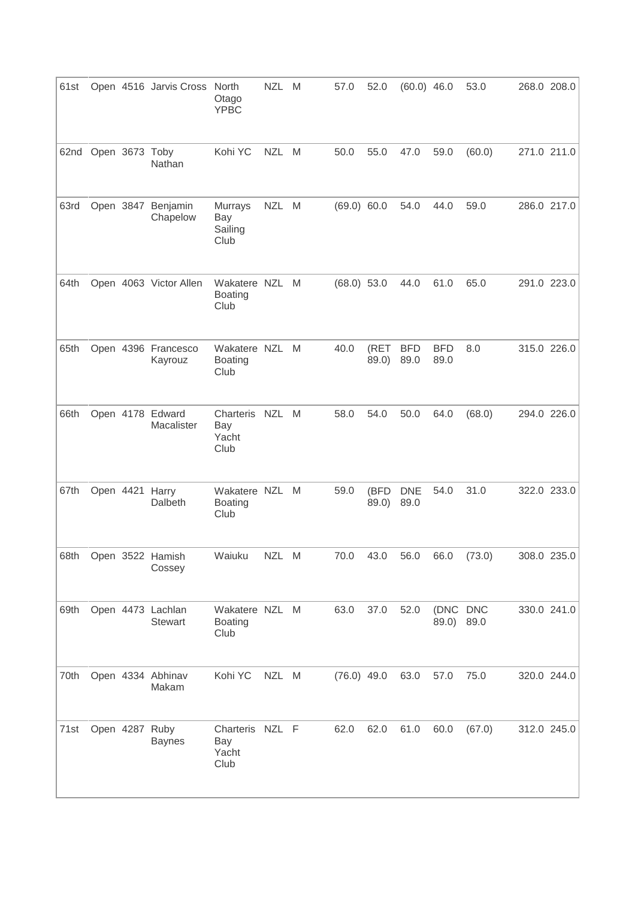| 61st |                |           | Open 4516 Jarvis Cross              | North<br>Otago<br><b>YPBC</b>            | <b>NZL</b> | M | 57.0          | 52.0          | $(60.0)$ 46.0              |                    | 53.0   | 268.0 208.0 |
|------|----------------|-----------|-------------------------------------|------------------------------------------|------------|---|---------------|---------------|----------------------------|--------------------|--------|-------------|
| 62nd | Open 3673 Toby |           | Nathan                              | Kohi YC                                  | NZL M      |   | 50.0          | 55.0          | 47.0                       | 59.0               | (60.0) | 271.0 211.0 |
| 63rd |                | Open 3847 | Benjamin<br>Chapelow                | Murrays<br>Bay<br>Sailing<br>Club        | <b>NZL</b> | M | (69.0) 60.0   |               | 54.0                       | 44.0               | 59.0   | 286.0 217.0 |
| 64th |                |           | Open 4063 Victor Allen              | Wakatere NZL<br><b>Boating</b><br>Club   |            | M | $(68.0)$ 53.0 |               | 44.0                       | 61.0               | 65.0   | 291.0 223.0 |
| 65th |                |           | Open 4396 Francesco<br>Kayrouz      | Wakatere NZL<br><b>Boating</b><br>Club   |            | M | 40.0          | (RET<br>89.0) | <b>BFD</b><br>89.0         | <b>BFD</b><br>89.0 | 8.0    | 315.0 226.0 |
| 66th |                |           | Open 4178 Edward<br>Macalister      | Charteris NZL<br>Bay<br>Yacht<br>Club    |            | M | 58.0          | 54.0          | 50.0                       | 64.0               | (68.0) | 294.0 226.0 |
| 67th |                |           | Open 4421 Harry<br>Dalbeth          | Wakatere NZL<br><b>Boating</b><br>Club   |            | M | 59.0          | (BFD<br>89.0) | <b>DNE</b><br>89.0         | 54.0               | 31.0   | 322.0 233.0 |
|      |                |           | 68th Open 3522 Hamish<br>Cossey     | Waiuku                                   | NZL M      |   |               |               | 70.0 43.0 56.0 66.0 (73.0) |                    |        | 308.0 235.0 |
| 69th |                |           | Open 4473 Lachlan<br><b>Stewart</b> | Wakatere NZL M<br><b>Boating</b><br>Club |            |   | 63.0          | 37.0          | 52.0                       | (DNC DNC<br>89.0)  | 89.0   | 330.0 241.0 |
| 70th |                |           | Open 4334 Abhinav<br>Makam          | Kohi YC                                  | NZL M      |   | $(76.0)$ 49.0 |               | 63.0                       | 57.0               | 75.0   | 320.0 244.0 |
| 71st | Open 4287 Ruby |           | <b>Baynes</b>                       | Charteris NZL F<br>Bay<br>Yacht<br>Club  |            |   | 62.0          | 62.0          | 61.0                       | 60.0               | (67.0) | 312.0 245.0 |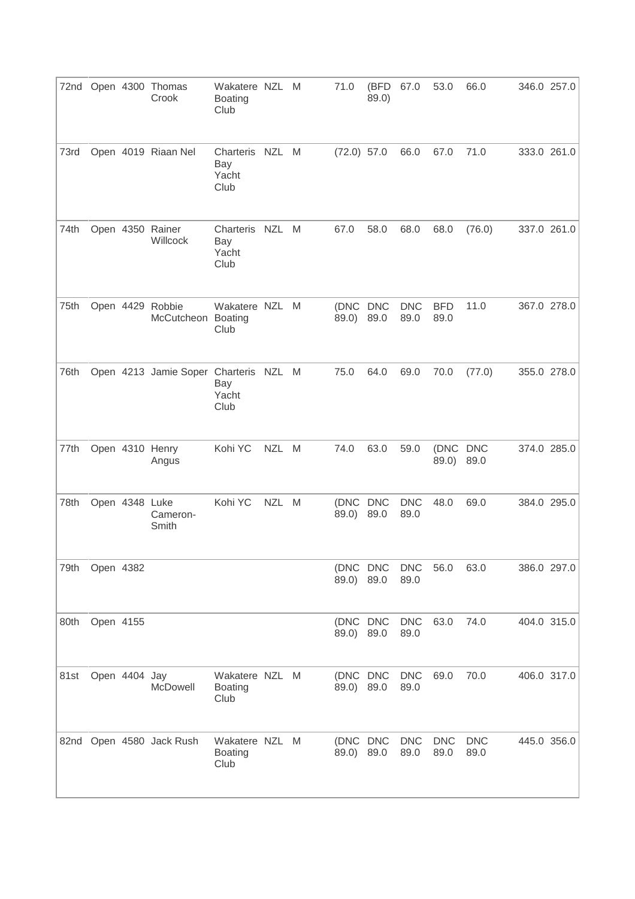|      |           |                | 72nd Open 4300 Thomas<br>Crook         | Wakatere NZL<br><b>Boating</b><br>Club   |            | M | 71.0                   | (BFD<br>89.0)      | 67.0               | 53.0               | 66.0               | 346.0 257.0 |
|------|-----------|----------------|----------------------------------------|------------------------------------------|------------|---|------------------------|--------------------|--------------------|--------------------|--------------------|-------------|
| 73rd |           |                | Open 4019 Riaan Nel                    | Charteris NZL M<br>Bay<br>Yacht<br>Club  |            |   | $(72.0)$ 57.0          |                    | 66.0               | 67.0               | 71.0               | 333.0 261.0 |
| 74th |           |                | Open 4350 Rainer<br>Willcock           | Charteris<br>Bay<br>Yacht<br>Club        | NZL M      |   | 67.0                   | 58.0               | 68.0               | 68.0               | (76.0)             | 337.0 261.0 |
| 75th |           |                | Open 4429 Robbie<br>McCutcheon Boating | Wakatere NZL<br>Club                     |            | M | (DNC DNC<br>89.0)      | 89.0               | <b>DNC</b><br>89.0 | <b>BFD</b><br>89.0 | 11.0               | 367.0 278.0 |
| 76th |           |                | Open 4213 Jamie Soper Charteris NZL M  | Bay<br>Yacht<br>Club                     |            |   | 75.0                   | 64.0               | 69.0               | 70.0               | (77.0)             | 355.0 278.0 |
| 77th |           |                | Open 4310 Henry<br>Angus               | Kohi YC                                  | <b>NZL</b> | M | 74.0                   | 63.0               | 59.0               | (DNC DNC<br>89.0)  | 89.0               | 374.0 285.0 |
| 78th |           | Open 4348 Luke | Cameron-<br>Smith                      | Kohi YC                                  | <b>NZL</b> | M | (DNC)<br>89.0)         | <b>DNC</b><br>89.0 | <b>DNC</b><br>89.0 | 48.0               | 69.0               | 384.0 295.0 |
| 79th | Open 4382 |                |                                        |                                          |            |   | (DNC DNC<br>89.0)      | 89.0               | <b>DNC</b><br>89.0 | 56.0               | 63.0               | 386.0 297.0 |
| 80th | Open 4155 |                |                                        |                                          |            |   | (DNC DNC<br>89.0) 89.0 |                    | <b>DNC</b><br>89.0 | 63.0               | 74.0               | 404.0 315.0 |
| 81st |           | Open 4404 Jay  | McDowell                               | Wakatere NZL M<br><b>Boating</b><br>Club |            |   | (DNC DNC<br>89.0) 89.0 |                    | <b>DNC</b><br>89.0 | 69.0               | 70.0               | 406.0 317.0 |
|      |           |                | 82nd Open 4580 Jack Rush               | Wakatere NZL M<br><b>Boating</b><br>Club |            |   | (DNC DNC<br>89.0) 89.0 |                    | <b>DNC</b><br>89.0 | <b>DNC</b><br>89.0 | <b>DNC</b><br>89.0 | 445.0 356.0 |